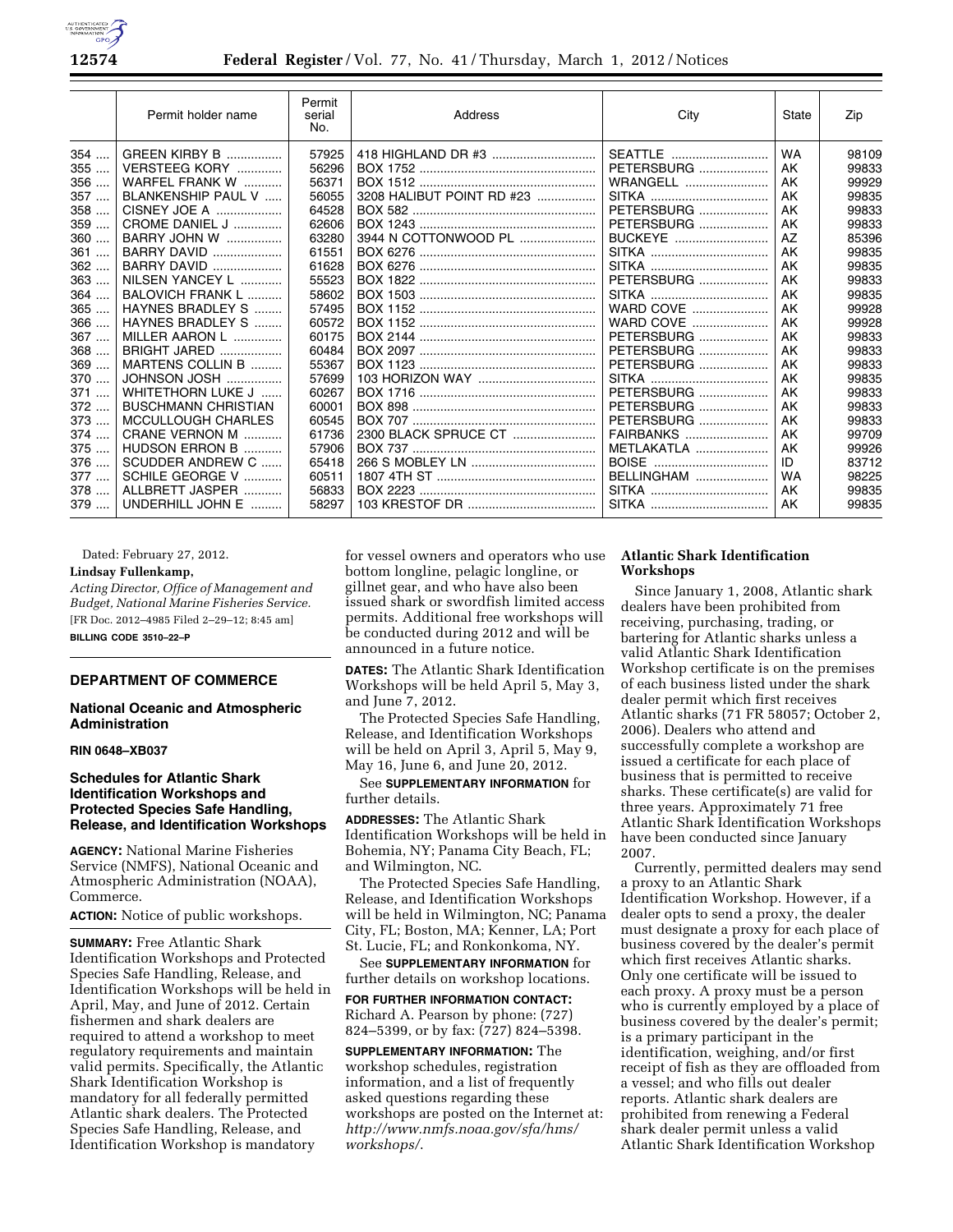

|       | Permit holder name         | Permit<br>serial<br>No. | Address                   | City              | State     | Zip   |
|-------|----------------------------|-------------------------|---------------------------|-------------------|-----------|-------|
| $354$ | <b>GREEN KIRBY B </b>      | 57925                   | 418 HIGHLAND DR #3        | SEATTLE           | <b>WA</b> | 98109 |
| 355   | VERSTEEG KORY              | 56296                   |                           | <b>PETERSBURG</b> | AK        | 99833 |
| 356   | WARFEL FRANK W             | 56371                   |                           | WRANGELL          | AK        | 99929 |
| 357   | BLANKENSHIP PAUL V         | 56055                   | 3208 HALIBUT POINT RD #23 |                   | AK        | 99835 |
| 358   | CISNEY JOE A               | 64528                   |                           | <b>PETERSBURG</b> | AK        | 99833 |
| 359   | CROME DANIEL J             | 62606                   |                           | PETERSBURG        | AK        | 99833 |
| 360   | <b>BARRY JOHN W </b>       | 63280                   | 3944 N COTTONWOOD PL      | <b>BUCKEYE</b>    | AZ        | 85396 |
| 361   | <b>BARRY DAVID</b>         | 61551                   |                           |                   | AK        | 99835 |
| $362$ | <b>BARRY DAVID </b>        | 61628                   |                           |                   | AK        | 99835 |
| 363   | NILSEN YANCEY L            | 55523                   |                           | PETERSBURG        | AK        | 99833 |
| 364   | BALOVICH FRANK L           | 58602                   |                           |                   | AK        | 99835 |
| $365$ | HAYNES BRADLEY S           | 57495                   |                           | <b>WARD COVE</b>  | AK        | 99928 |
| 366   | HAYNES BRADLEY S           | 60572                   |                           | <b>WARD COVE</b>  | AK        | 99928 |
| 367   | MILLER AARON L             | 60175                   |                           | <b>PETERSBURG</b> | AK        | 99833 |
| 368   | <b>BRIGHT JARED</b>        | 60484                   |                           | <b>PETERSBURG</b> | AK        | 99833 |
| 369   | MARTENS COLLIN B           | 55367                   |                           | <b>PETERSBURG</b> | AK        | 99833 |
| 370   | JOHNSON JOSH               | 57699                   |                           |                   | AK        | 99835 |
| 371   | WHITETHORN LUKE J          | 60267                   |                           | PETERSBURG        | AK        | 99833 |
| $372$ | <b>BUSCHMANN CHRISTIAN</b> | 60001                   |                           | PETERSBURG        | AK        | 99833 |
| 373   | MCCULLOUGH CHARLES         | 60545                   |                           | <b>PETERSBURG</b> | AK        | 99833 |
| 374   | CRANE VERNON M             | 61736                   | 2300 BLACK SPRUCE CT      | <b>FAIRBANKS</b>  | AK        | 99709 |
| 375   | HUDSON ERRON B             | 57906                   |                           | <b>METLAKATLA</b> | AK        | 99926 |
| 376   | SCUDDER ANDREW C           | 65418                   |                           | BOISE             | ID        | 83712 |
| 377   | SCHILE GEORGE V            | 60511                   |                           | BELLINGHAM        | WA        | 98225 |
| 378   | ALLBRETT JASPER<br>.       | 56833                   |                           |                   | AK        | 99835 |
| 379   | UNDERHILL JOHN E<br>.      | 58297                   |                           |                   | AK        | 99835 |

Dated: February 27, 2012.

## **Lindsay Fullenkamp,**

*Acting Director, Office of Management and Budget, National Marine Fisheries Service.*  [FR Doc. 2012–4985 Filed 2–29–12; 8:45 am]

**BILLING CODE 3510–22–P** 

#### **DEPARTMENT OF COMMERCE**

## **National Oceanic and Atmospheric Administration**

#### **RIN 0648–XB037**

## **Schedules for Atlantic Shark Identification Workshops and Protected Species Safe Handling, Release, and Identification Workshops**

**AGENCY:** National Marine Fisheries Service (NMFS), National Oceanic and Atmospheric Administration (NOAA), Commerce.

**ACTION:** Notice of public workshops.

**SUMMARY:** Free Atlantic Shark Identification Workshops and Protected Species Safe Handling, Release, and Identification Workshops will be held in April, May, and June of 2012. Certain fishermen and shark dealers are required to attend a workshop to meet regulatory requirements and maintain valid permits. Specifically, the Atlantic Shark Identification Workshop is mandatory for all federally permitted Atlantic shark dealers. The Protected Species Safe Handling, Release, and Identification Workshop is mandatory

for vessel owners and operators who use bottom longline, pelagic longline, or gillnet gear, and who have also been issued shark or swordfish limited access permits. Additional free workshops will be conducted during 2012 and will be announced in a future notice.

**DATES:** The Atlantic Shark Identification Workshops will be held April 5, May 3, and June 7, 2012.

The Protected Species Safe Handling, Release, and Identification Workshops will be held on April 3, April 5, May 9, May 16, June 6, and June 20, 2012.

See **SUPPLEMENTARY INFORMATION** for further details.

**ADDRESSES:** The Atlantic Shark Identification Workshops will be held in Bohemia, NY; Panama City Beach, FL; and Wilmington, NC.

The Protected Species Safe Handling, Release, and Identification Workshops will be held in Wilmington, NC; Panama City, FL; Boston, MA; Kenner, LA; Port St. Lucie, FL; and Ronkonkoma, NY.

See **SUPPLEMENTARY INFORMATION** for further details on workshop locations.

**FOR FURTHER INFORMATION CONTACT:**  Richard A. Pearson by phone: (727) 824–5399, or by fax: (727) 824–5398.

**SUPPLEMENTARY INFORMATION:** The workshop schedules, registration information, and a list of frequently asked questions regarding these workshops are posted on the Internet at: *[http://www.nmfs.noaa.gov/sfa/hms/](http://www.nmfs.noaa.gov/sfa/hms/workshops/)  [workshops/](http://www.nmfs.noaa.gov/sfa/hms/workshops/)*.

## **Atlantic Shark Identification Workshops**

Since January 1, 2008, Atlantic shark dealers have been prohibited from receiving, purchasing, trading, or bartering for Atlantic sharks unless a valid Atlantic Shark Identification Workshop certificate is on the premises of each business listed under the shark dealer permit which first receives Atlantic sharks (71 FR 58057; October 2, 2006). Dealers who attend and successfully complete a workshop are issued a certificate for each place of business that is permitted to receive sharks. These certificate(s) are valid for three years. Approximately 71 free Atlantic Shark Identification Workshops have been conducted since January 2007.

Currently, permitted dealers may send a proxy to an Atlantic Shark Identification Workshop. However, if a dealer opts to send a proxy, the dealer must designate a proxy for each place of business covered by the dealer's permit which first receives Atlantic sharks. Only one certificate will be issued to each proxy. A proxy must be a person who is currently employed by a place of business covered by the dealer's permit; is a primary participant in the identification, weighing, and/or first receipt of fish as they are offloaded from a vessel; and who fills out dealer reports. Atlantic shark dealers are prohibited from renewing a Federal shark dealer permit unless a valid Atlantic Shark Identification Workshop